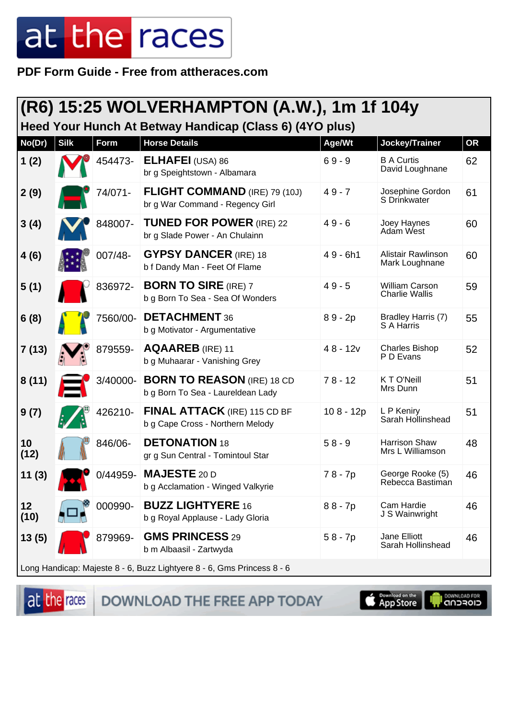PDF Form Guide - Free from attheraces.com

| (R6) 15:25 WOLVERHAMPTON (A.W.), 1m 1f 104y                            |             |             |                                                                         |             |                                                |           |  |
|------------------------------------------------------------------------|-------------|-------------|-------------------------------------------------------------------------|-------------|------------------------------------------------|-----------|--|
| Heed Your Hunch At Betway Handicap (Class 6) (4YO plus)                |             |             |                                                                         |             |                                                |           |  |
| No(Dr)                                                                 | <b>Silk</b> | <b>Form</b> | <b>Horse Details</b>                                                    | Age/Wt      | Jockey/Trainer                                 | <b>OR</b> |  |
| 1(2)                                                                   |             | 454473-     | <b>ELHAFEI</b> (USA) 86<br>br g Speightstown - Albamara                 | $69 - 9$    | <b>B A Curtis</b><br>David Loughnane           | 62        |  |
| 2(9)                                                                   |             | 74/071-     | <b>FLIGHT COMMAND (IRE) 79 (10J)</b><br>br g War Command - Regency Girl | $49 - 7$    | Josephine Gordon<br>S Drinkwater               | 61        |  |
| 3(4)                                                                   |             | 848007-     | <b>TUNED FOR POWER (IRE) 22</b><br>br g Slade Power - An Chulainn       | $49 - 6$    | Joey Haynes<br>Adam West                       | 60        |  |
| 4(6)                                                                   |             | 007/48-     | <b>GYPSY DANCER (IRE) 18</b><br>b f Dandy Man - Feet Of Flame           | $49 - 6h1$  | Alistair Rawlinson<br>Mark Loughnane           | 60        |  |
| 5(1)                                                                   |             | 836972-     | <b>BORN TO SIRE (IRE) 7</b><br>b g Born To Sea - Sea Of Wonders         | $49 - 5$    | <b>William Carson</b><br><b>Charlie Wallis</b> | 59        |  |
| 6(8)                                                                   |             | 7560/00-    | <b>DETACHMENT 36</b><br>b g Motivator - Argumentative                   | $89 - 2p$   | Bradley Harris (7)<br>S A Harris               | 55        |  |
| 7(13)                                                                  |             | 879559-     | <b>AQAAREB</b> (IRE) 11<br>b g Muhaarar - Vanishing Grey                | $48 - 12v$  | <b>Charles Bishop</b><br>P D Evans             | 52        |  |
| 8(11)                                                                  |             | 3/40000-    | <b>BORN TO REASON (IRE) 18 CD</b><br>b g Born To Sea - Laureldean Lady  | $78 - 12$   | K T O'Neill<br>Mrs Dunn                        | 51        |  |
| 9(7)                                                                   |             | 426210-     | FINAL ATTACK (IRE) 115 CD BF<br>b g Cape Cross - Northern Melody        | $108 - 12p$ | L P Keniry<br>Sarah Hollinshead                | 51        |  |
| 10<br>(12)                                                             |             | 846/06-     | <b>DETONATION 18</b><br>gr g Sun Central - Tomintoul Star               | $58 - 9$    | Harrison Shaw<br>Mrs L Williamson              | 48        |  |
| 11(3)                                                                  |             | $0/44959 -$ | <b>MAJESTE 20 D</b><br>b g Acclamation - Winged Valkyrie                | 78 - 7p     | George Rooke (5)<br>Rebecca Bastiman           | 46        |  |
| 12<br>(10)                                                             |             | 000990-     | <b>BUZZ LIGHTYERE 16</b><br>b g Royal Applause - Lady Gloria            | $88 - 7p$   | Cam Hardie<br>J S Wainwright                   | 46        |  |
| 13(5)                                                                  |             | 879969-     | <b>GMS PRINCESS 29</b><br>b m Albaasil - Zartwyda                       | $58 - 7p$   | Jane Elliott<br>Sarah Hollinshead              | 46        |  |
| Long Handicap: Majeste 8 - 6, Buzz Lightyere 8 - 6, Gms Princess 8 - 6 |             |             |                                                                         |             |                                                |           |  |

at the races

DOWNLOAD THE FREE APP TODAY

App Store

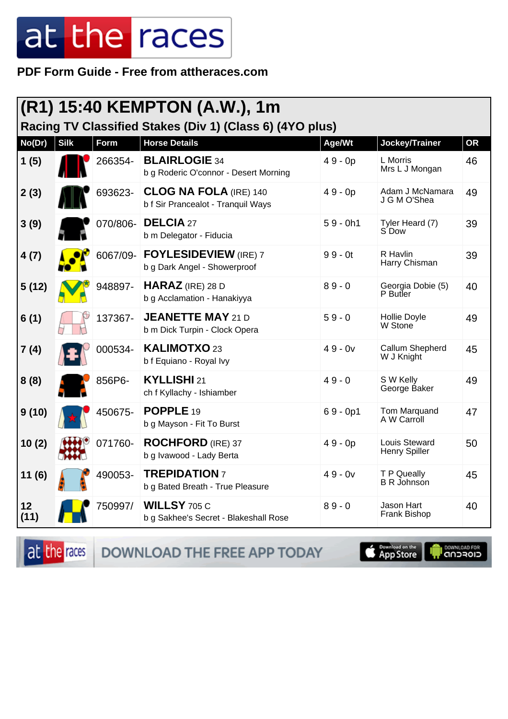PDF Form Guide - Free from attheraces.com

| (R1) 15:40 KEMPTON (A.W.), 1m<br>Racing TV Classified Stakes (Div 1) (Class 6) (4YO plus) |             |          |                                                                     |            |                                    |           |  |
|-------------------------------------------------------------------------------------------|-------------|----------|---------------------------------------------------------------------|------------|------------------------------------|-----------|--|
| No(Dr)                                                                                    | <b>Silk</b> | Form     | <b>Horse Details</b>                                                | Age/Wt     | Jockey/Trainer                     | <b>OR</b> |  |
| 1(5)                                                                                      |             | 266354-  | <b>BLAIRLOGIE 34</b><br>b g Roderic O'connor - Desert Morning       | $49 - 0p$  | L Morris<br>Mrs L J Mongan         | 46        |  |
| 2(3)                                                                                      |             | 693623-  | <b>CLOG NA FOLA (IRE) 140</b><br>b f Sir Prancealot - Tranquil Ways | $49 - 0p$  | Adam J McNamara<br>J G M O'Shea    | 49        |  |
| 3(9)                                                                                      |             | 070/806- | <b>DELCIA 27</b><br>b m Delegator - Fiducia                         | $59 - 0h1$ | Tyler Heard (7)<br>S Dow           | 39        |  |
| 4(7)                                                                                      |             | 6067/09- | <b>FOYLESIDEVIEW</b> (IRE) 7<br>b g Dark Angel - Showerproof        | $99 - 0t$  | R Havlin<br>Harry Chisman          | 39        |  |
| 5(12)                                                                                     |             | 948897-  | <b>HARAZ</b> (IRE) 28 D<br>b g Acclamation - Hanakiyya              | $89 - 0$   | Georgia Dobie (5)<br>P Butler      | 40        |  |
| 6(1)                                                                                      |             | 137367-  | <b>JEANETTE MAY 21 D</b><br>b m Dick Turpin - Clock Opera           | $59 - 0$   | Hollie Doyle<br>W Stone            | 49        |  |
| 7(4)                                                                                      |             | 000534-  | <b>KALIMOTXO 23</b><br>b f Equiano - Royal Ivy                      | $49 - 0v$  | Callum Shepherd<br>W J Knight      | 45        |  |
| 8(8)                                                                                      |             | 856P6-   | KYLLISHI 21<br>ch f Kyllachy - Ishiamber                            | $49 - 0$   | S W Kelly<br>George Baker          | 49        |  |
| 9(10)                                                                                     |             | 450675-  | POPPLE <sub>19</sub><br>b g Mayson - Fit To Burst                   | $69 - 0p1$ | <b>Tom Marquand</b><br>A W Carroll | 47        |  |
| 10(2)                                                                                     |             | 071760-  | <b>ROCHFORD</b> (IRE) 37<br>b g Ivawood - Lady Berta                | $49 - 0p$  | Louis Steward<br>Henry Spiller     | 50        |  |
| 11(6)                                                                                     |             | 490053-  | <b>TREPIDATION 7</b><br>b g Bated Breath - True Pleasure            | $49 - 0v$  | T P Queally<br><b>B R Johnson</b>  | 45        |  |
| 12<br>(11)                                                                                |             | 750997/  | <b>WILLSY 705 C</b><br>b g Sakhee's Secret - Blakeshall Rose        | $89 - 0$   | Jason Hart<br>Frank Bishop         | 40        |  |

DOWNLOAD THE FREE APP TODAY at the races

App Store

**IN DOWNLOAD FOR**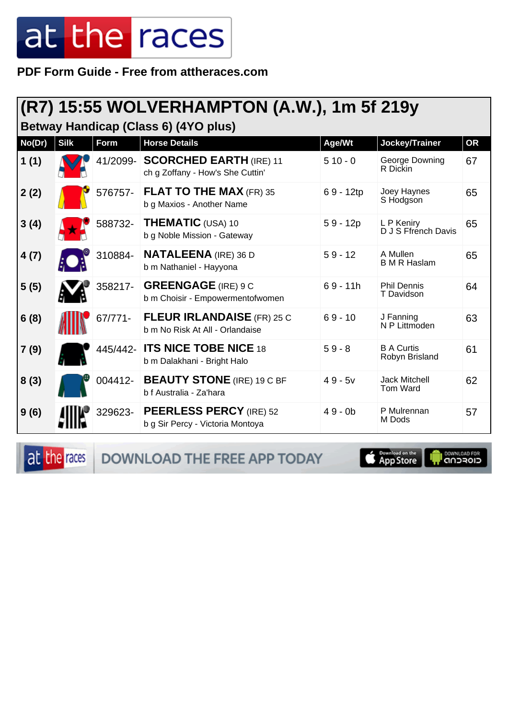**PDF Form Guide - Free from attheraces.com**

#### **(R7) 15:55 WOLVERHAMPTON (A.W.), 1m 5f 219y**

**Betway Handicap (Class 6) (4YO plus)**

| No(Dr) | <b>Silk</b> | <b>Form</b> | <b>Horse Details</b>                                                 | Age/Wt      | Jockey/Trainer                      | <b>OR</b> |
|--------|-------------|-------------|----------------------------------------------------------------------|-------------|-------------------------------------|-----------|
| 1(1)   |             | 41/2099-    | <b>SCORCHED EARTH (IRE) 11</b><br>ch g Zoffany - How's She Cuttin'   | $510 - 0$   | George Downing<br>R Dickin          | 67        |
| 2(2)   |             | 576757-     | <b>FLAT TO THE MAX (FR) 35</b><br>b g Maxios - Another Name          | $69 - 12tp$ | Joey Haynes<br>S Hodgson            | 65        |
| 3(4)   |             | 588732-     | <b>THEMATIC (USA) 10</b><br>b g Noble Mission - Gateway              | $59 - 12p$  | L P Keniry<br>D J S Ffrench Davis   | 65        |
| 4(7)   |             | 310884-     | <b>NATALEENA</b> (IRE) 36 D<br>b m Nathaniel - Hayyona               | $59 - 12$   | A Mullen<br><b>B</b> M R Haslam     | 65        |
| 5(5)   |             | 358217-     | <b>GREENGAGE</b> (IRE) 9 C<br>b m Choisir - Empowermentofwomen       | $69 - 11h$  | <b>Phil Dennis</b><br>T Davidson    | 64        |
| 6(8)   |             | 67/771-     | <b>FLEUR IRLANDAISE</b> (FR) 25 C<br>b m No Risk At All - Orlandaise | $69 - 10$   | J Fanning<br>N P Littmoden          | 63        |
| 7(9)   |             |             | 445/442- ITS NICE TOBE NICE 18<br>b m Dalakhani - Bright Halo        | $59 - 8$    | <b>B A Curtis</b><br>Robyn Brisland | 61        |
| 8(3)   |             | 004412-     | <b>BEAUTY STONE</b> (IRE) 19 C BF<br>b f Australia - Za'hara         | $49 - 5v$   | <b>Jack Mitchell</b><br>Tom Ward    | 62        |
| 9(6)   |             | 329623-     | <b>PEERLESS PERCY (IRE) 52</b><br>b g Sir Percy - Victoria Montoya   | $49 - 0b$   | P Mulrennan<br>M Dods               | 57        |

at the races DOWNLOAD THE FREE APP TODAY